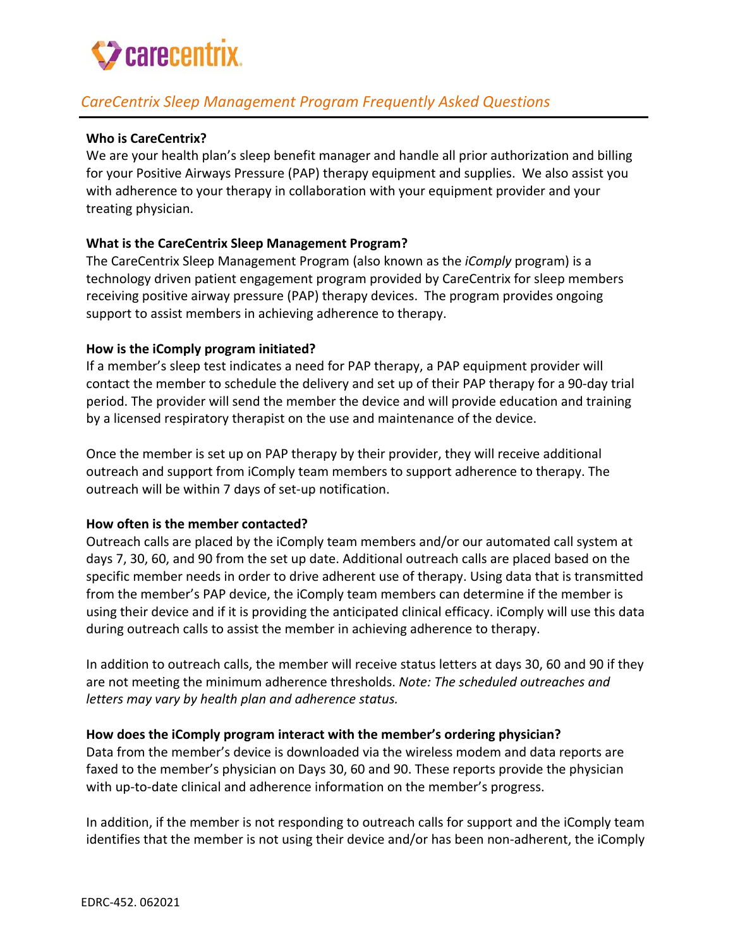

# *CareCentrix Sleep Management Program Frequently Asked Questions*

#### **Who is CareCentrix?**

We are your health plan's sleep benefit manager and handle all prior authorization and billing for your Positive Airways Pressure (PAP) therapy equipment and supplies. We also assist you with adherence to your therapy in collaboration with your equipment provider and your treating physician.

#### **What is the CareCentrix Sleep Management Program?**

The CareCentrix Sleep Management Program (also known as the *iComply* program) is a technology driven patient engagement program provided by CareCentrix for sleep members receiving positive airway pressure (PAP) therapy devices. The program provides ongoing support to assist members in achieving adherence to therapy.

#### **How is the iComply program initiated?**

If a member's sleep test indicates a need for PAP therapy, a PAP equipment provider will contact the member to schedule the delivery and set up of their PAP therapy for a 90-day trial period. The provider will send the member the device and will provide education and training by a licensed respiratory therapist on the use and maintenance of the device.

Once the member is set up on PAP therapy by their provider, they will receive additional outreach and support from iComply team members to support adherence to therapy. The outreach will be within 7 days of set-up notification.

#### **How often is the member contacted?**

Outreach calls are placed by the iComply team members and/or our automated call system at days 7, 30, 60, and 90 from the set up date. Additional outreach calls are placed based on the specific member needs in order to drive adherent use of therapy. Using data that is transmitted from the member's PAP device, the iComply team members can determine if the member is using their device and if it is providing the anticipated clinical efficacy. iComply will use this data during outreach calls to assist the member in achieving adherence to therapy.

In addition to outreach calls, the member will receive status letters at days 30, 60 and 90 if they are not meeting the minimum adherence thresholds. *Note: The scheduled outreaches and letters may vary by health plan and adherence status.*

#### **How does the iComply program interact with the member's ordering physician?**

Data from the member's device is downloaded via the wireless modem and data reports are faxed to the member's physician on Days 30, 60 and 90. These reports provide the physician with up-to-date clinical and adherence information on the member's progress.

In addition, if the member is not responding to outreach calls for support and the iComply team identifies that the member is not using their device and/or has been non-adherent, the iComply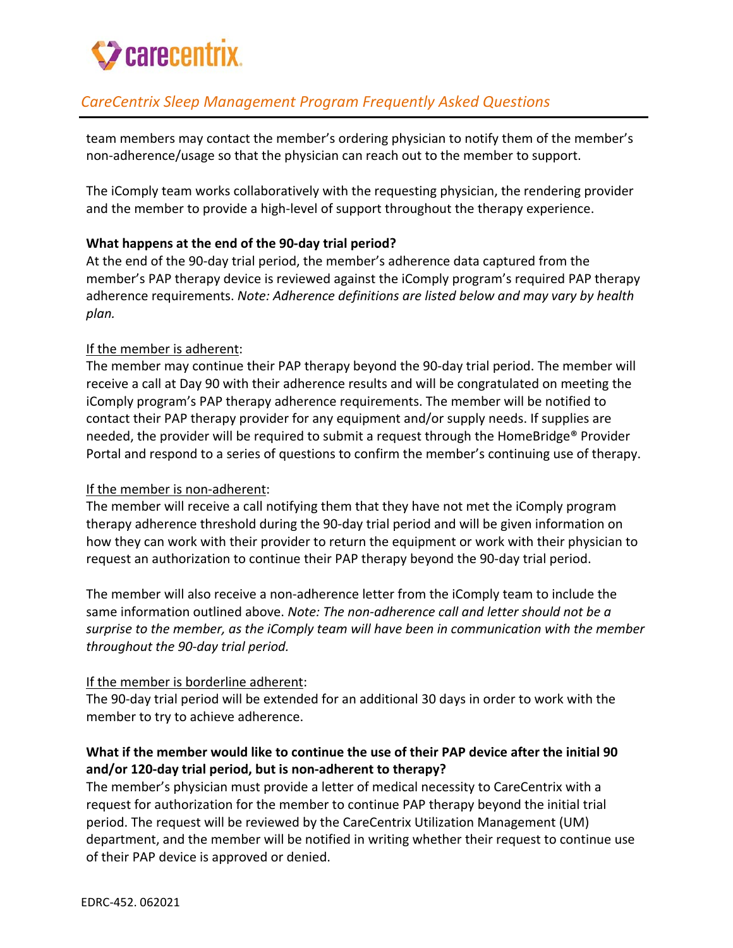# **Z** carecentrix.

# *CareCentrix Sleep Management Program Frequently Asked Questions*

team members may contact the member's ordering physician to notify them of the member's non-adherence/usage so that the physician can reach out to the member to support.

The iComply team works collaboratively with the requesting physician, the rendering provider and the member to provide a high-level of support throughout the therapy experience.

## **What happens at the end of the 90-day trial period?**

At the end of the 90-day trial period, the member's adherence data captured from the member's PAP therapy device is reviewed against the iComply program's required PAP therapy adherence requirements. *Note: Adherence definitions are listed below and may vary by health plan.*

## If the member is adherent:

The member may continue their PAP therapy beyond the 90-day trial period. The member will receive a call at Day 90 with their adherence results and will be congratulated on meeting the iComply program's PAP therapy adherence requirements. The member will be notified to contact their PAP therapy provider for any equipment and/or supply needs. If supplies are needed, the provider will be required to submit a request through the HomeBridge® Provider Portal and respond to a series of questions to confirm the member's continuing use of therapy.

## If the member is non-adherent:

The member will receive a call notifying them that they have not met the iComply program therapy adherence threshold during the 90-day trial period and will be given information on how they can work with their provider to return the equipment or work with their physician to request an authorization to continue their PAP therapy beyond the 90-day trial period.

The member will also receive a non-adherence letter from the iComply team to include the same information outlined above. *Note: The non-adherence call and letter should not be a surprise to the member, as the iComply team will have been in communication with the member throughout the 90-day trial period.*

## If the member is borderline adherent:

The 90-day trial period will be extended for an additional 30 days in order to work with the member to try to achieve adherence.

## **What if the member would like to continue the use of their PAP device after the initial 90 and/or 120-day trial period, but is non-adherent to therapy?**

The member's physician must provide a letter of medical necessity to CareCentrix with a request for authorization for the member to continue PAP therapy beyond the initial trial period. The request will be reviewed by the CareCentrix Utilization Management (UM) department, and the member will be notified in writing whether their request to continue use of their PAP device is approved or denied.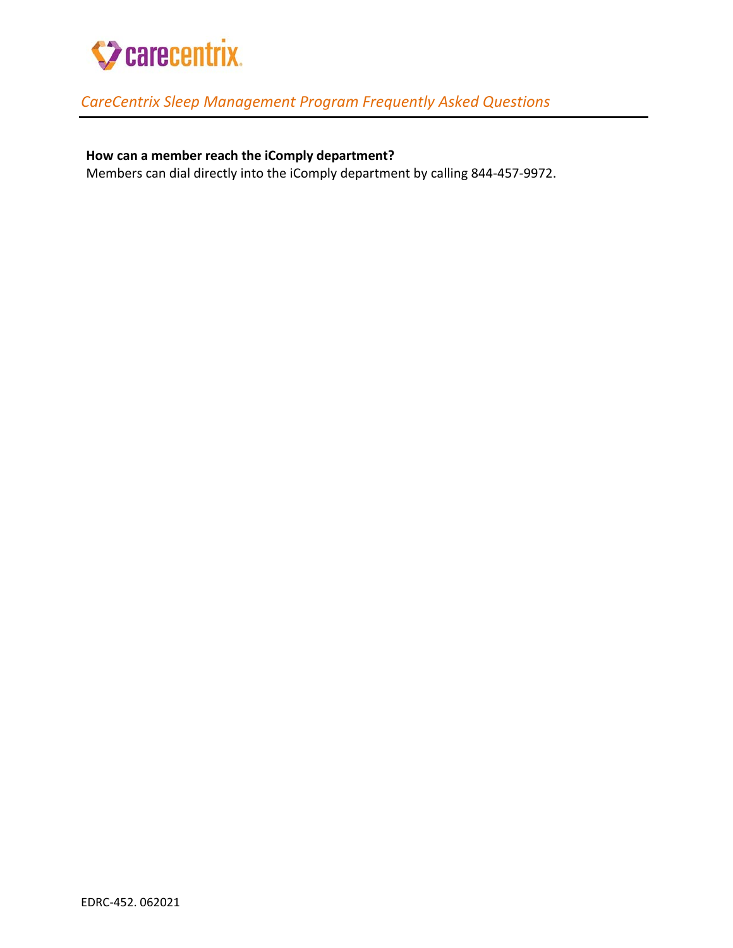

# *CareCentrix Sleep Management Program Frequently Asked Questions*

# **How can a member reach the iComply department?**

Members can dial directly into the iComply department by calling 844-457-9972.